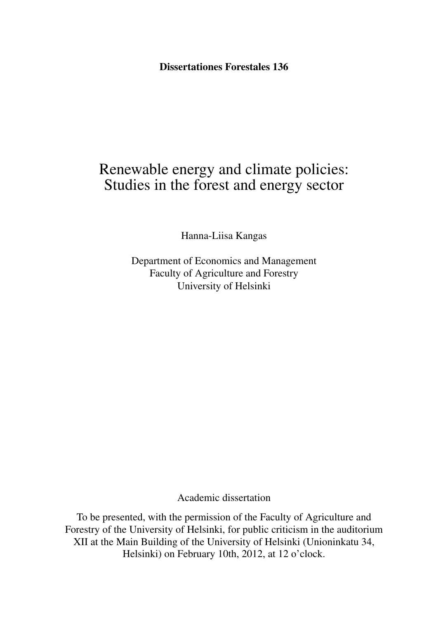**Dissertationes Forestales 136**

# Renewable energy and climate policies: Studies in the forest and energy sector

Hanna-Liisa Kangas

Department of Economics and Management Faculty of Agriculture and Forestry University of Helsinki

Academic dissertation

To be presented, with the permission of the Faculty of Agriculture and Forestry of the University of Helsinki, for public criticism in the auditorium XII at the Main Building of the University of Helsinki (Unioninkatu 34, Helsinki) on February 10th, 2012, at 12 o'clock.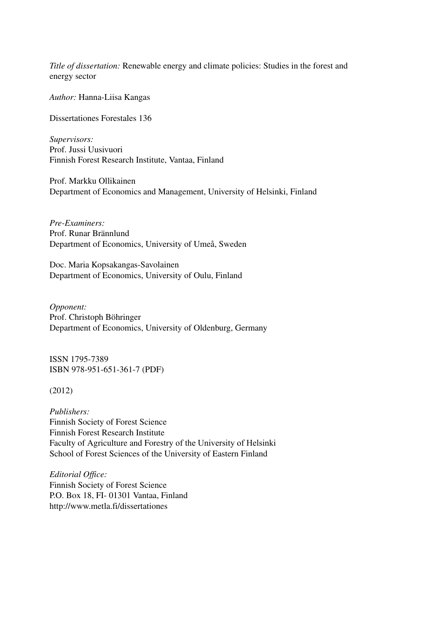*Title of dissertation:* Renewable energy and climate policies: Studies in the forest and energy sector

*Author:* Hanna-Liisa Kangas

Dissertationes Forestales 136

*Supervisors:*  Prof. Jussi Uusivuori Finnish Forest Research Institute, Vantaa, Finland

Prof. Markku Ollikainen Department of Economics and Management, University of Helsinki, Finland

*Pre-Examiners:* Prof. Runar Brännlund Department of Economics, University of Umeå, Sweden

Doc. Maria Kopsakangas-Savolainen Department of Economics, University of Oulu, Finland

*Opponent:* Prof. Christoph Böhringer Department of Economics, University of Oldenburg, Germany

ISSN 1795-7389 ISBN 978-951-651-361-7 (PDF)

(2012)

*Publishers:* Finnish Society of Forest Science Finnish Forest Research Institute Faculty of Agriculture and Forestry of the University of Helsinki School of Forest Sciences of the University of Eastern Finland

*Editorial Office:* Finnish Society of Forest Science P.O. Box 18, FI- 01301 Vantaa, Finland http://www.metla.fi/dissertationes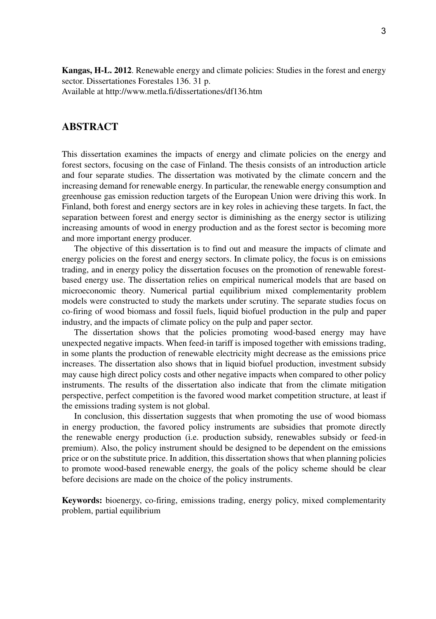**Kangas, H-L. 2012**. Renewable energy and climate policies: Studies in the forest and energy sector. Dissertationes Forestales 136. 31 p. Available at http://www.metla.fi/dissertationes/df136.htm

# **ABSTRACT**

This dissertation examines the impacts of energy and climate policies on the energy and forest sectors, focusing on the case of Finland. The thesis consists of an introduction article and four separate studies. The dissertation was motivated by the climate concern and the increasing demand for renewable energy. In particular, the renewable energy consumption and greenhouse gas emission reduction targets of the European Union were driving this work. In Finland, both forest and energy sectors are in key roles in achieving these targets. In fact, the separation between forest and energy sector is diminishing as the energy sector is utilizing increasing amounts of wood in energy production and as the forest sector is becoming more and more important energy producer.

The objective of this dissertation is to find out and measure the impacts of climate and energy policies on the forest and energy sectors. In climate policy, the focus is on emissions trading, and in energy policy the dissertation focuses on the promotion of renewable forestbased energy use. The dissertation relies on empirical numerical models that are based on microeconomic theory. Numerical partial equilibrium mixed complementarity problem models were constructed to study the markets under scrutiny. The separate studies focus on co-firing of wood biomass and fossil fuels, liquid biofuel production in the pulp and paper industry, and the impacts of climate policy on the pulp and paper sector.

The dissertation shows that the policies promoting wood-based energy may have unexpected negative impacts. When feed-in tariff is imposed together with emissions trading, in some plants the production of renewable electricity might decrease as the emissions price increases. The dissertation also shows that in liquid biofuel production, investment subsidy may cause high direct policy costs and other negative impacts when compared to other policy instruments. The results of the dissertation also indicate that from the climate mitigation perspective, perfect competition is the favored wood market competition structure, at least if the emissions trading system is not global.

In conclusion, this dissertation suggests that when promoting the use of wood biomass in energy production, the favored policy instruments are subsidies that promote directly the renewable energy production (i.e. production subsidy, renewables subsidy or feed-in premium). Also, the policy instrument should be designed to be dependent on the emissions price or on the substitute price. In addition, this dissertation shows that when planning policies to promote wood-based renewable energy, the goals of the policy scheme should be clear before decisions are made on the choice of the policy instruments.

**Keywords:** bioenergy, co-firing, emissions trading, energy policy, mixed complementarity problem, partial equilibrium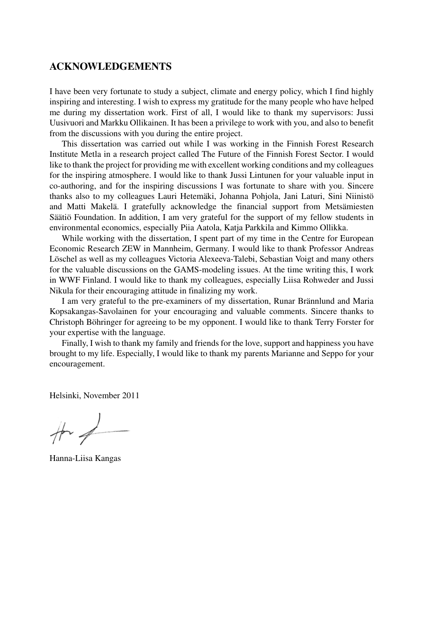# **ACKNOWLEDGEMENTS**

I have been very fortunate to study a subject, climate and energy policy, which I find highly inspiring and interesting. I wish to express my gratitude for the many people who have helped me during my dissertation work. First of all, I would like to thank my supervisors: Jussi Uusivuori and Markku Ollikainen. It has been a privilege to work with you, and also to benefit from the discussions with you during the entire project.

This dissertation was carried out while I was working in the Finnish Forest Research Institute Metla in a research project called The Future of the Finnish Forest Sector. I would like to thank the project for providing me with excellent working conditions and my colleagues for the inspiring atmosphere. I would like to thank Jussi Lintunen for your valuable input in co-authoring, and for the inspiring discussions I was fortunate to share with you. Sincere thanks also to my colleagues Lauri Hetemäki, Johanna Pohjola, Jani Laturi, Sini Niinistö and Matti Makelä. I gratefully acknowledge the financial support from Metsämiesten Säätiö Foundation. In addition, I am very grateful for the support of my fellow students in environmental economics, especially Piia Aatola, Katja Parkkila and Kimmo Ollikka.

While working with the dissertation, I spent part of my time in the Centre for European Economic Research ZEW in Mannheim, Germany. I would like to thank Professor Andreas Löschel as well as my colleagues Victoria Alexeeva-Talebi, Sebastian Voigt and many others for the valuable discussions on the GAMS-modeling issues. At the time writing this, I work in WWF Finland. I would like to thank my colleagues, especially Liisa Rohweder and Jussi Nikula for their encouraging attitude in finalizing my work.

I am very grateful to the pre-examiners of my dissertation, Runar Brännlund and Maria Kopsakangas-Savolainen for your encouraging and valuable comments. Sincere thanks to Christoph Böhringer for agreeing to be my opponent. I would like to thank Terry Forster for your expertise with the language.

Finally, I wish to thank my family and friends for the love, support and happiness you have brought to my life. Especially, I would like to thank my parents Marianne and Seppo for your encouragement.

Helsinki, November 2011

 $#4$ 

Hanna-Liisa Kangas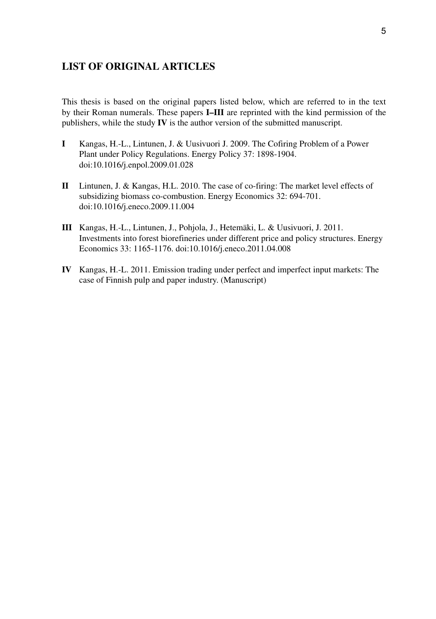# **LIST OF ORIGINAL ARTICLES**

This thesis is based on the original papers listed below, which are referred to in the text by their Roman numerals. These papers **I–III** are reprinted with the kind permission of the publishers, while the study **IV** is the author version of the submitted manuscript.

- **I** Kangas, H.-L., Lintunen, J. & Uusivuori J. 2009. The Cofiring Problem of a Power Plant under Policy Regulations. Energy Policy 37: 1898-1904. doi:10.1016/j.enpol.2009.01.028
- **II** Lintunen, J. & Kangas, H.L. 2010. The case of co-firing: The market level effects of subsidizing biomass co-combustion. Energy Economics 32: 694-701. doi:10.1016/j.eneco.2009.11.004
- **III** Kangas, H.-L., Lintunen, J., Pohjola, J., Hetemäki, L. & Uusivuori, J. 2011. Investments into forest biorefineries under different price and policy structures. Energy Economics 33: 1165-1176. doi:10.1016/j.eneco.2011.04.008
- **IV** Kangas, H.-L. 2011. Emission trading under perfect and imperfect input markets: The case of Finnish pulp and paper industry. (Manuscript)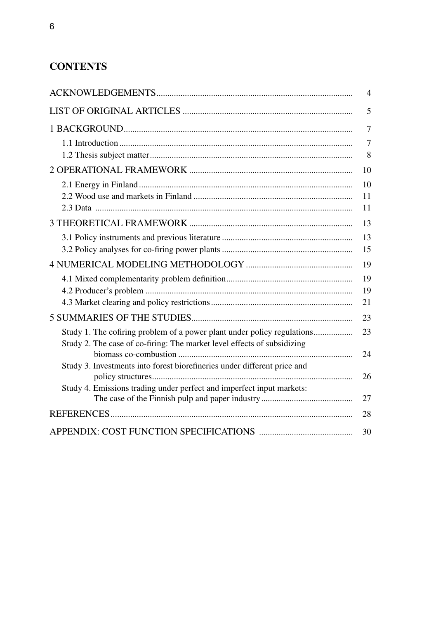# **Contents**

|                                                                          | 4  |
|--------------------------------------------------------------------------|----|
|                                                                          | 5  |
|                                                                          | 7  |
|                                                                          | 7  |
|                                                                          | 8  |
|                                                                          | 10 |
|                                                                          | 10 |
|                                                                          | 11 |
|                                                                          | 11 |
|                                                                          | 13 |
|                                                                          | 13 |
|                                                                          | 15 |
|                                                                          | 19 |
|                                                                          | 19 |
|                                                                          | 19 |
|                                                                          | 21 |
|                                                                          | 23 |
| Study 1. The cofiring problem of a power plant under policy regulations  | 23 |
| Study 2. The case of co-firing: The market level effects of subsidizing  |    |
|                                                                          | 24 |
| Study 3. Investments into forest biorefineries under different price and |    |
|                                                                          | 26 |
| Study 4. Emissions trading under perfect and imperfect input markets:    | 27 |
|                                                                          |    |
|                                                                          | 28 |
|                                                                          | 30 |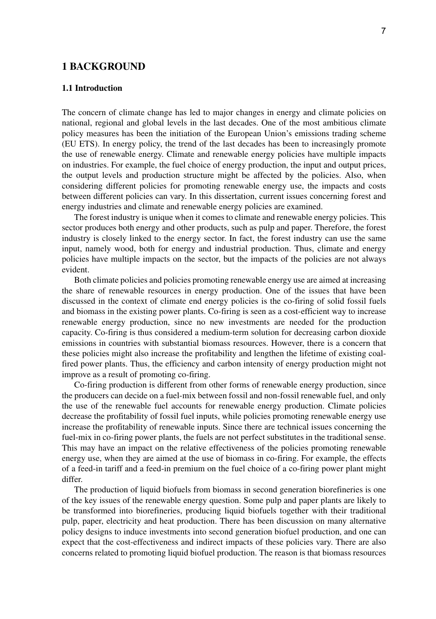# **1 Background**

# **1.1 Introduction**

The concern of climate change has led to major changes in energy and climate policies on national, regional and global levels in the last decades. One of the most ambitious climate policy measures has been the initiation of the European Union's emissions trading scheme (EU ETS). In energy policy, the trend of the last decades has been to increasingly promote the use of renewable energy. Climate and renewable energy policies have multiple impacts on industries. For example, the fuel choice of energy production, the input and output prices, the output levels and production structure might be affected by the policies. Also, when considering different policies for promoting renewable energy use, the impacts and costs between different policies can vary. In this dissertation, current issues concerning forest and energy industries and climate and renewable energy policies are examined.

The forest industry is unique when it comes to climate and renewable energy policies. This sector produces both energy and other products, such as pulp and paper. Therefore, the forest industry is closely linked to the energy sector. In fact, the forest industry can use the same input, namely wood, both for energy and industrial production. Thus, climate and energy policies have multiple impacts on the sector, but the impacts of the policies are not always evident.

Both climate policies and policies promoting renewable energy use are aimed at increasing the share of renewable resources in energy production. One of the issues that have been discussed in the context of climate end energy policies is the co-firing of solid fossil fuels and biomass in the existing power plants. Co-firing is seen as a cost-efficient way to increase renewable energy production, since no new investments are needed for the production capacity. Co-firing is thus considered a medium-term solution for decreasing carbon dioxide emissions in countries with substantial biomass resources. However, there is a concern that these policies might also increase the profitability and lengthen the lifetime of existing coalfired power plants. Thus, the efficiency and carbon intensity of energy production might not improve as a result of promoting co-firing.

Co-firing production is different from other forms of renewable energy production, since the producers can decide on a fuel-mix between fossil and non-fossil renewable fuel, and only the use of the renewable fuel accounts for renewable energy production. Climate policies decrease the profitability of fossil fuel inputs, while policies promoting renewable energy use increase the profitability of renewable inputs. Since there are technical issues concerning the fuel-mix in co-firing power plants, the fuels are not perfect substitutes in the traditional sense. This may have an impact on the relative effectiveness of the policies promoting renewable energy use, when they are aimed at the use of biomass in co-firing. For example, the effects of a feed-in tariff and a feed-in premium on the fuel choice of a co-firing power plant might differ.

The production of liquid biofuels from biomass in second generation biorefineries is one of the key issues of the renewable energy question. Some pulp and paper plants are likely to be transformed into biorefineries, producing liquid biofuels together with their traditional pulp, paper, electricity and heat production. There has been discussion on many alternative policy designs to induce investments into second generation biofuel production, and one can expect that the cost-effectiveness and indirect impacts of these policies vary. There are also concerns related to promoting liquid biofuel production. The reason is that biomass resources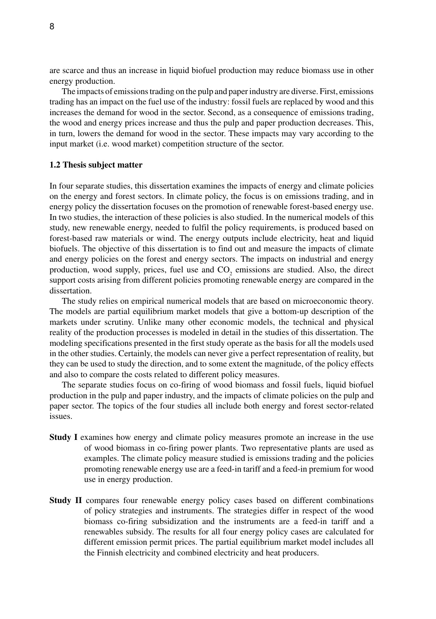are scarce and thus an increase in liquid biofuel production may reduce biomass use in other energy production.

The impacts of emissions trading on the pulp and paper industry are diverse. First, emissions trading has an impact on the fuel use of the industry: fossil fuels are replaced by wood and this increases the demand for wood in the sector. Second, as a consequence of emissions trading, the wood and energy prices increase and thus the pulp and paper production decreases. This, in turn, lowers the demand for wood in the sector. These impacts may vary according to the input market (i.e. wood market) competition structure of the sector.

#### **1.2 Thesis subject matter**

In four separate studies, this dissertation examines the impacts of energy and climate policies on the energy and forest sectors. In climate policy, the focus is on emissions trading, and in energy policy the dissertation focuses on the promotion of renewable forest-based energy use. In two studies, the interaction of these policies is also studied. In the numerical models of this study, new renewable energy, needed to fulfil the policy requirements, is produced based on forest-based raw materials or wind. The energy outputs include electricity, heat and liquid biofuels. The objective of this dissertation is to find out and measure the impacts of climate and energy policies on the forest and energy sectors. The impacts on industrial and energy production, wood supply, prices, fuel use and  $CO_2$  emissions are studied. Also, the direct support costs arising from different policies promoting renewable energy are compared in the dissertation.

The study relies on empirical numerical models that are based on microeconomic theory. The models are partial equilibrium market models that give a bottom-up description of the markets under scrutiny. Unlike many other economic models, the technical and physical reality of the production processes is modeled in detail in the studies of this dissertation. The modeling specifications presented in the first study operate as the basis for all the models used in the other studies. Certainly, the models can never give a perfect representation of reality, but they can be used to study the direction, and to some extent the magnitude, of the policy effects and also to compare the costs related to different policy measures.

The separate studies focus on co-firing of wood biomass and fossil fuels, liquid biofuel production in the pulp and paper industry, and the impacts of climate policies on the pulp and paper sector. The topics of the four studies all include both energy and forest sector-related issues.

- **Study I** examines how energy and climate policy measures promote an increase in the use of wood biomass in co-firing power plants. Two representative plants are used as examples. The climate policy measure studied is emissions trading and the policies promoting renewable energy use are a feed-in tariff and a feed-in premium for wood use in energy production.
- **Study II** compares four renewable energy policy cases based on different combinations of policy strategies and instruments. The strategies differ in respect of the wood biomass co-firing subsidization and the instruments are a feed-in tariff and a renewables subsidy. The results for all four energy policy cases are calculated for different emission permit prices. The partial equilibrium market model includes all the Finnish electricity and combined electricity and heat producers.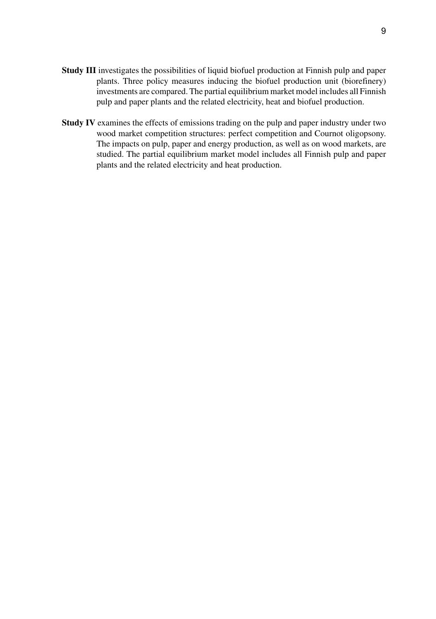- **Study III** investigates the possibilities of liquid biofuel production at Finnish pulp and paper plants. Three policy measures inducing the biofuel production unit (biorefinery) investments are compared. The partial equilibrium market model includes all Finnish pulp and paper plants and the related electricity, heat and biofuel production.
- **Study IV** examines the effects of emissions trading on the pulp and paper industry under two wood market competition structures: perfect competition and Cournot oligopsony. The impacts on pulp, paper and energy production, as well as on wood markets, are studied. The partial equilibrium market model includes all Finnish pulp and paper plants and the related electricity and heat production.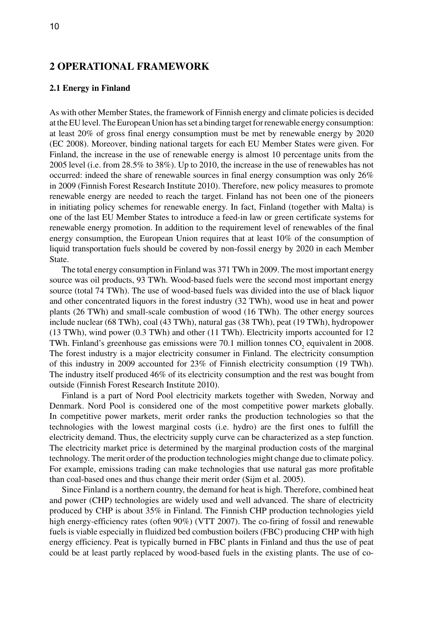# **2 Operational framework**

# **2.1 Energy in Finland**

As with other Member States, the framework of Finnish energy and climate policies is decided at the EU level. The European Union has set a binding target for renewable energy consumption: at least 20% of gross final energy consumption must be met by renewable energy by 2020 (EC 2008). Moreover, binding national targets for each EU Member States were given. For Finland, the increase in the use of renewable energy is almost 10 percentage units from the 2005 level (i.e. from 28.5% to 38%). Up to 2010, the increase in the use of renewables has not occurred: indeed the share of renewable sources in final energy consumption was only 26% in 2009 (Finnish Forest Research Institute 2010). Therefore, new policy measures to promote renewable energy are needed to reach the target. Finland has not been one of the pioneers in initiating policy schemes for renewable energy. In fact, Finland (together with Malta) is one of the last EU Member States to introduce a feed-in law or green certificate systems for renewable energy promotion. In addition to the requirement level of renewables of the final energy consumption, the European Union requires that at least 10% of the consumption of liquid transportation fuels should be covered by non-fossil energy by 2020 in each Member State.

The total energy consumption in Finland was 371 TWh in 2009. The most important energy source was oil products, 93 TWh. Wood-based fuels were the second most important energy source (total 74 TWh). The use of wood-based fuels was divided into the use of black liquor and other concentrated liquors in the forest industry (32 TWh), wood use in heat and power plants (26 TWh) and small-scale combustion of wood (16 TWh). The other energy sources include nuclear (68 TWh), coal (43 TWh), natural gas (38 TWh), peat (19 TWh), hydropower (13 TWh), wind power (0.3 TWh) and other (11 TWh). Electricity imports accounted for 12 TWh. Finland's greenhouse gas emissions were 70.1 million tonnes  $CO<sub>2</sub>$  equivalent in 2008. The forest industry is a major electricity consumer in Finland. The electricity consumption of this industry in 2009 accounted for 23% of Finnish electricity consumption (19 TWh). The industry itself produced 46% of its electricity consumption and the rest was bought from outside (Finnish Forest Research Institute 2010).

Finland is a part of Nord Pool electricity markets together with Sweden, Norway and Denmark. Nord Pool is considered one of the most competitive power markets globally. In competitive power markets, merit order ranks the production technologies so that the technologies with the lowest marginal costs (i.e. hydro) are the first ones to fulfill the electricity demand. Thus, the electricity supply curve can be characterized as a step function. The electricity market price is determined by the marginal production costs of the marginal technology. The merit order of the production technologies might change due to climate policy. For example, emissions trading can make technologies that use natural gas more profitable than coal-based ones and thus change their merit order (Sijm et al. 2005).

Since Finland is a northern country, the demand for heat is high. Therefore, combined heat and power (CHP) technologies are widely used and well advanced. The share of electricity produced by CHP is about 35% in Finland. The Finnish CHP production technologies yield high energy-efficiency rates (often 90%) (VTT 2007). The co-firing of fossil and renewable fuels is viable especially in fluidized bed combustion boilers (FBC) producing CHP with high energy efficiency. Peat is typically burned in FBC plants in Finland and thus the use of peat could be at least partly replaced by wood-based fuels in the existing plants. The use of co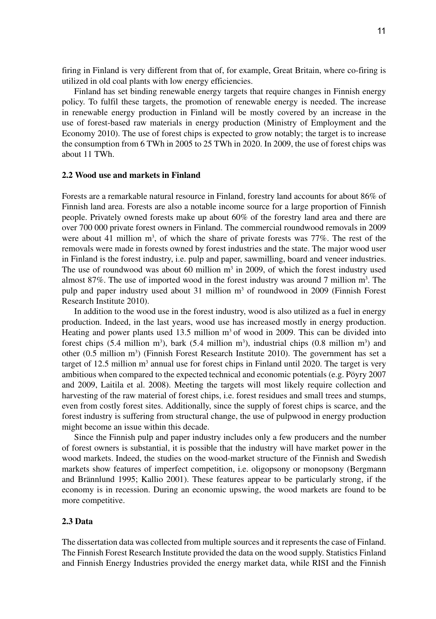firing in Finland is very different from that of, for example, Great Britain, where co-firing is utilized in old coal plants with low energy efficiencies.

Finland has set binding renewable energy targets that require changes in Finnish energy policy. To fulfil these targets, the promotion of renewable energy is needed. The increase in renewable energy production in Finland will be mostly covered by an increase in the use of forest-based raw materials in energy production (Ministry of Employment and the Economy 2010). The use of forest chips is expected to grow notably; the target is to increase the consumption from 6 TWh in 2005 to 25 TWh in 2020. In 2009, the use of forest chips was about 11 TWh.

#### **2.2 Wood use and markets in Finland**

Forests are a remarkable natural resource in Finland, forestry land accounts for about 86% of Finnish land area. Forests are also a notable income source for a large proportion of Finnish people. Privately owned forests make up about 60% of the forestry land area and there are over 700 000 private forest owners in Finland. The commercial roundwood removals in 2009 were about 41 million  $m<sup>3</sup>$ , of which the share of private forests was 77%. The rest of the removals were made in forests owned by forest industries and the state. The major wood user in Finland is the forest industry, i.e. pulp and paper, sawmilling, board and veneer industries. The use of roundwood was about 60 million  $m<sup>3</sup>$  in 2009, of which the forest industry used almost 87%. The use of imported wood in the forest industry was around 7 million  $m^3$ . The pulp and paper industry used about  $31$  million  $m<sup>3</sup>$  of roundwood in 2009 (Finnish Forest Research Institute 2010).

In addition to the wood use in the forest industry, wood is also utilized as a fuel in energy production. Indeed, in the last years, wood use has increased mostly in energy production. Heating and power plants used 13.5 million  $m<sup>3</sup>$  of wood in 2009. This can be divided into forest chips  $(5.4 \text{ million m}^3)$ , bark  $(5.4 \text{ million m}^3)$ , industrial chips  $(0.8 \text{ million m}^3)$  and other  $(0.5 \text{ million m}^3)$  (Finnish Forest Research Institute 2010). The government has set a target of 12.5 million  $m<sup>3</sup>$  annual use for forest chips in Finland until 2020. The target is very ambitious when compared to the expected technical and economic potentials (e.g. Pöyry 2007 and 2009, Laitila et al. 2008). Meeting the targets will most likely require collection and harvesting of the raw material of forest chips, i.e. forest residues and small trees and stumps, even from costly forest sites. Additionally, since the supply of forest chips is scarce, and the forest industry is suffering from structural change, the use of pulpwood in energy production might become an issue within this decade.

Since the Finnish pulp and paper industry includes only a few producers and the number of forest owners is substantial, it is possible that the industry will have market power in the wood markets. Indeed, the studies on the wood-market structure of the Finnish and Swedish markets show features of imperfect competition, i.e. oligopsony or monopsony (Bergmann and Brännlund 1995; Kallio 2001). These features appear to be particularly strong, if the economy is in recession. During an economic upswing, the wood markets are found to be more competitive.

# **2.3 Data**

The dissertation data was collected from multiple sources and it represents the case of Finland. The Finnish Forest Research Institute provided the data on the wood supply. Statistics Finland and Finnish Energy Industries provided the energy market data, while RISI and the Finnish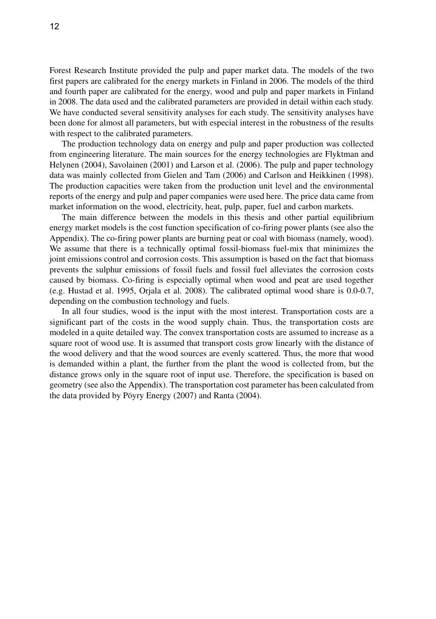Forest Research Institute provided the pulp and paper market data. The models of the two first papers are calibrated for the energy markets in Finland in 2006. The models of the third and fourth paper are calibrated for the energy, wood and pulp and paper markets in Finland in 2008. The data used and the calibrated parameters are provided in detail within each study. We have conducted several sensitivity analyses for each study. The sensitivity analyses have been done for almost all parameters, but with especial interest in the robustness of the results with respect to the calibrated parameters.

The production technology data on energy and pulp and paper production was collected from engineering literature. The main sources for the energy technologies are Flyktman and Helynen (2004), Savolainen (2001) and Larson et al. (2006). The pulp and paper technology data was mainly collected from Gielen and Tam (2006) and Carlson and Heikkinen (1998). The production capacities were taken from the production unit level and the environmental reports of the energy and pulp and paper companies were used here. The price data came from market information on the wood, electricity, heat, pulp, paper, fuel and carbon markets.

The main difference between the models in this thesis and other partial equilibrium energy market models is the cost function specification of co-firing power plants (see also the Appendix). The co-firing power plants are burning peat or coal with biomass (namely, wood). We assume that there is a technically optimal fossil-biomass fuel-mix that minimizes the joint emissions control and corrosion costs. This assumption is based on the fact that biomass prevents the sulphur emissions of fossil fuels and fossil fuel alleviates the corrosion costs caused by biomass. Co-firing is especially optimal when wood and peat are used together (e.g. Hustad et al. 1995, Orjala et al. 2008). The calibrated optimal wood share is 0.0-0.7, depending on the combustion technology and fuels.

In all four studies, wood is the input with the most interest. Transportation costs are a significant part of the costs in the wood supply chain. Thus, the transportation costs are modeled in a quite detailed way. The convex transportation costs are assumed to increase as a square root of wood use. It is assumed that transport costs grow linearly with the distance of the wood delivery and that the wood sources are evenly scattered. Thus, the more that wood is demanded within a plant, the further from the plant the wood is collected from, but the distance grows only in the square root of input use. Therefore, the specification is based on geometry (see also the Appendix). The transportation cost parameter has been calculated from the data provided by Pöyry Energy (2007) and Ranta (2004).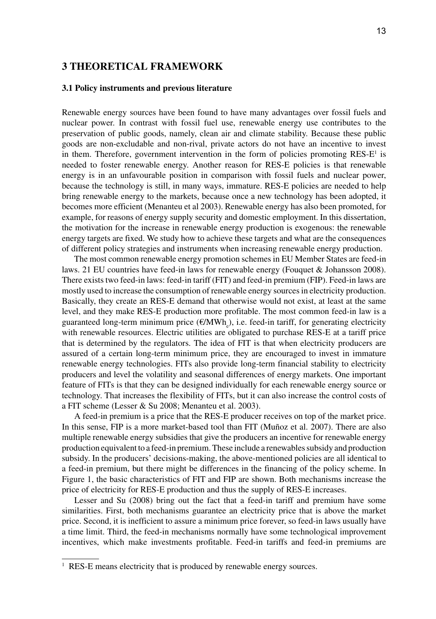# **3 Theoretical framework**

## **3.1 Policy instruments and previous literature**

Renewable energy sources have been found to have many advantages over fossil fuels and nuclear power. In contrast with fossil fuel use, renewable energy use contributes to the preservation of public goods, namely, clean air and climate stability. Because these public goods are non-excludable and non-rival, private actors do not have an incentive to invest in them. Therefore, government intervention in the form of policies promoting  $RES-E<sup>1</sup>$  is needed to foster renewable energy. Another reason for RES-E policies is that renewable energy is in an unfavourable position in comparison with fossil fuels and nuclear power, because the technology is still, in many ways, immature. RES-E policies are needed to help bring renewable energy to the markets, because once a new technology has been adopted, it becomes more efficient (Menanteu et al 2003). Renewable energy has also been promoted, for example, for reasons of energy supply security and domestic employment. In this dissertation, the motivation for the increase in renewable energy production is exogenous: the renewable energy targets are fixed. We study how to achieve these targets and what are the consequences of different policy strategies and instruments when increasing renewable energy production.

The most common renewable energy promotion schemes in EU Member States are feed-in laws. 21 EU countries have feed-in laws for renewable energy (Fouquet & Johansson 2008). There exists two feed-in laws: feed-in tariff (FIT) and feed-in premium (FIP). Feed-in laws are mostly used to increase the consumption of renewable energy sources in electricity production. Basically, they create an RES-E demand that otherwise would not exist, at least at the same level, and they make RES-E production more profitable. The most common feed-in law is a guaranteed long-term minimum price  $(\text{\ensuremath{\mathfrak{C}MWh}}_\text{e})$ , i.e. feed-in tariff, for generating electricity with renewable resources. Electric utilities are obligated to purchase RES-E at a tariff price that is determined by the regulators. The idea of FIT is that when electricity producers are assured of a certain long-term minimum price, they are encouraged to invest in immature renewable energy technologies. FITs also provide long-term financial stability to electricity producers and level the volatility and seasonal differences of energy markets. One important feature of FITs is that they can be designed individually for each renewable energy source or technology. That increases the flexibility of FITs, but it can also increase the control costs of a FIT scheme (Lesser & Su 2008; Menanteu et al. 2003).

A feed-in premium is a price that the RES-E producer receives on top of the market price. In this sense, FIP is a more market-based tool than FIT (Muñoz et al. 2007). There are also multiple renewable energy subsidies that give the producers an incentive for renewable energy production equivalent to a feed-in premium. These include a renewables subsidy and production subsidy. In the producers' decisions-making, the above-mentioned policies are all identical to a feed-in premium, but there might be differences in the financing of the policy scheme. In Figure 1, the basic characteristics of FIT and FIP are shown. Both mechanisms increase the price of electricity for RES-E production and thus the supply of RES-E increases.

Lesser and Su (2008) bring out the fact that a feed-in tariff and premium have some similarities. First, both mechanisms guarantee an electricity price that is above the market price. Second, it is inefficient to assure a minimum price forever, so feed-in laws usually have a time limit. Third, the feed-in mechanisms normally have some technological improvement incentives, which make investments profitable. Feed-in tariffs and feed-in premiums are

<sup>&</sup>lt;sup>1</sup> RES-E means electricity that is produced by renewable energy sources.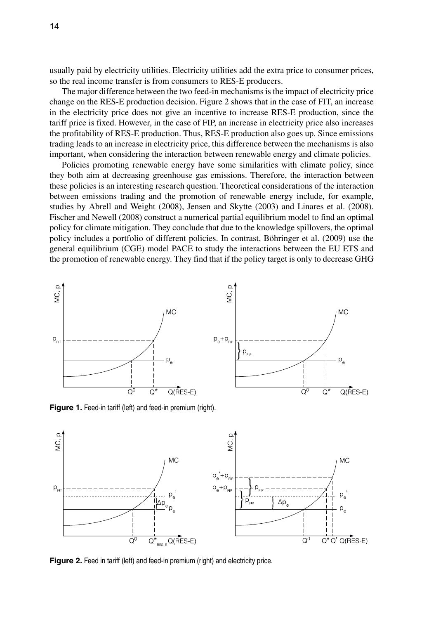usually paid by electricity utilities. Electricity utilities add the extra price to consumer prices, so the real income transfer is from consumers to RES-E producers.

The major difference between the two feed-in mechanisms is the impact of electricity price change on the RES-E production decision. Figure 2 shows that in the case of FIT, an increase in the electricity price does not give an incentive to increase RES-E production, since the tariff price is fixed. However, in the case of FIP, an increase in electricity price also increases the profitability of RES-E production. Thus, RES-E production also goes up. Since emissions trading leads to an increase in electricity price, this difference between the mechanisms is also important, when considering the interaction between renewable energy and climate policies.

Policies promoting renewable energy have some similarities with climate policy, since they both aim at decreasing greenhouse gas emissions. Therefore, the interaction between these policies is an interesting research question. Theoretical considerations of the interaction between emissions trading and the promotion of renewable energy include, for example, studies by Abrell and Weight (2008), Jensen and Skytte (2003) and Linares et al. (2008). Fischer and Newell (2008) construct a numerical partial equilibrium model to find an optimal policy for climate mitigation. They conclude that due to the knowledge spillovers, the optimal policy includes a portfolio of different policies. In contrast, Böhringer et al. (2009) use the general equilibrium (CGE) model PACE to study the interactions between the EU ETS and the promotion of renewable energy. They find that if the policy target is only to decrease GHG



Figure 1. Feed-in tariff (left) and feed-in premium (right).



**Figure 2.** Feed in tariff (left) and feed-in premium (right) and electricity price.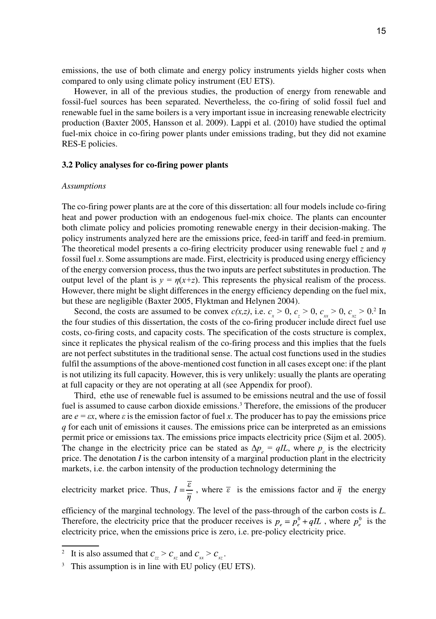emissions, the use of both climate and energy policy instruments yields higher costs when compared to only using climate policy instrument (EU ETS).

However, in all of the previous studies, the production of energy from renewable and fossil-fuel sources has been separated. Nevertheless, the co-firing of solid fossil fuel and renewable fuel in the same boilers is a very important issue in increasing renewable electricity production (Baxter 2005, Hansson et al. 2009). Lappi et al. (2010) have studied the optimal fuel-mix choice in co-firing power plants under emissions trading, but they did not examine RES-E policies.

#### **3.2 Policy analyses for co-firing power plants**

#### *Assumptions*

The co-firing power plants are at the core of this dissertation: all four models include co-firing heat and power production with an endogenous fuel-mix choice. The plants can encounter both climate policy and policies promoting renewable energy in their decision-making. The policy instruments analyzed here are the emissions price, feed-in tariff and feed-in premium. The theoretical model presents a co-firing electricity producer using renewable fuel *z* and *η* fossil fuel *x*. Some assumptions are made. First, electricity is produced using energy efficiency of the energy conversion process, thus the two inputs are perfect substitutes in production. The output level of the plant is  $y = \eta(x+z)$ . This represents the physical realism of the process. However, there might be slight differences in the energy efficiency depending on the fuel mix, but these are negligible (Baxter 2005, Flyktman and Helynen 2004).

Second, the costs are assumed to be convex  $c(x,z)$ , i.e.  $c_x > 0$ ,  $c_z > 0$ ,  $c_{xx} > 0$ ,  $c_{xz} > 0$ .<sup>2</sup> In the four studies of this dissertation, the costs of the co-firing producer include direct fuel use costs, co-firing costs, and capacity costs. The specification of the costs structure is complex, since it replicates the physical realism of the co-firing process and this implies that the fuels are not perfect substitutes in the traditional sense. The actual cost functions used in the studies fulfil the assumptions of the above-mentioned cost function in all cases except one: if the plant is not utilizing its full capacity. However, this is very unlikely: usually the plants are operating at full capacity or they are not operating at all (see Appendix for proof).

Third, ethe use of renewable fuel is assumed to be emissions neutral and the use of fossil fuel is assumed to cause carbon dioxide emissions.<sup>3</sup> Therefore, the emissions of the producer are  $e = \varepsilon x$ , where  $\varepsilon$  is the emission factor of fuel x. The producer has to pay the emissions price *q* for each unit of emissions it causes. The emissions price can be interpreted as an emissions permit price or emissions tax. The emissions price impacts electricity price (Sijm et al. 2005). The change in the electricity price can be stated as  $\Delta p_e = qIL$ , where  $p_e$  is the electricity price. The denotation  $I$  is the carbon intensity of a marginal production plant in the electricity markets, i.e. the carbon intensity of the production technology determining the

electricity market price. Thus,  $I = \frac{\overline{\varepsilon}}{\overline{n}}$ , where  $\overline{\varepsilon}$  is the emissions factor and  $\overline{\eta}$  the energy

efficiency of the marginal technology. The level of the pass-through of the carbon costs is *L*. Therefore, the electricity price that the producer receives is  $p_e = p_e^0 + qIL$ , where  $p_e^0$  is the electricity price, when the emissions price is zero, i.e. pre-policy electricity price.

<sup>&</sup>lt;sup>2</sup> It is also assumed that  $c_{\rm z} > c_{\rm xz}$  and  $c_{\rm x} > c_{\rm xz}$ .

<sup>&</sup>lt;sup>3</sup> This assumption is in line with EU policy (EU ETS).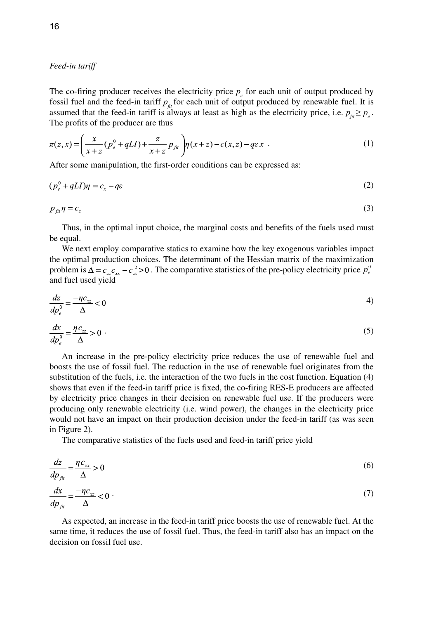# *Feed-in tariff*

The co-firing producer receives the electricity price  $p_e$  for each unit of output produced by fossil fuel and the feed-in tariff  $p_{\hat{r}}$  for each unit of output produced by renewable fuel. It is assumed that the feed-in tariff is always at least as high as the electricity price, i.e.  $p_{\theta} \geq p_{\theta}$ . The profits of the producer are thus

$$
\pi(z,x) = \left(\frac{x}{x+z}(p_e^0 + qLI) + \frac{z}{x+z}p_{\beta i}\right)\eta(x+z) - c(x,z) - q\epsilon x
$$
 (1)

After some manipulation, the first-order conditions can be expressed as:

$$
(p_e^0 + qLI)\eta = c_x - q\varepsilon \tag{2}
$$

$$
p_{\scriptscriptstyle{fit}}\eta = c_z \tag{3}
$$

Thus, in the optimal input choice, the marginal costs and benefits of the fuels used must be equal.

We next employ comparative statics to examine how the key exogenous variables impact the optimal production choices. The determinant of the Hessian matrix of the maximization problem is  $\Delta = c_{z}c_{rr} - c_{rr}^2 > 0$ . The comparative statistics of the pre-policy electricity price  $p_e^0$ and fuel used yield

$$
\frac{dz}{dp_e^0} = \frac{-\eta c_{xz}}{\Delta} < 0 \tag{4}
$$

$$
\frac{dx}{dp_e^0} = \frac{\eta c_{zz}}{\Delta} > 0 \tag{5}
$$

An increase in the pre-policy electricity price reduces the use of renewable fuel and boosts the use of fossil fuel. The reduction in the use of renewable fuel originates from the substitution of the fuels, i.e. the interaction of the two fuels in the cost function. Equation (4) shows that even if the feed-in tariff price is fixed, the co-firing RES-E producers are affected by electricity price changes in their decision on renewable fuel use. If the producers were producing only renewable electricity (i.e. wind power), the changes in the electricity price would not have an impact on their production decision under the feed-in tariff (as was seen in Figure 2).

The comparative statistics of the fuels used and feed-in tariff price yield

$$
\frac{dz}{dp_{\hat{u}}} = \frac{\eta c_{xx}}{\Delta} > 0\tag{6}
$$

$$
\frac{dx}{dp_{\text{fit}}} = \frac{-\eta c_{xz}}{\Delta} < 0 \tag{7}
$$

As expected, an increase in the feed-in tariff price boosts the use of renewable fuel. At the same time, it reduces the use of fossil fuel. Thus, the feed-in tariff also has an impact on the decision on fossil fuel use.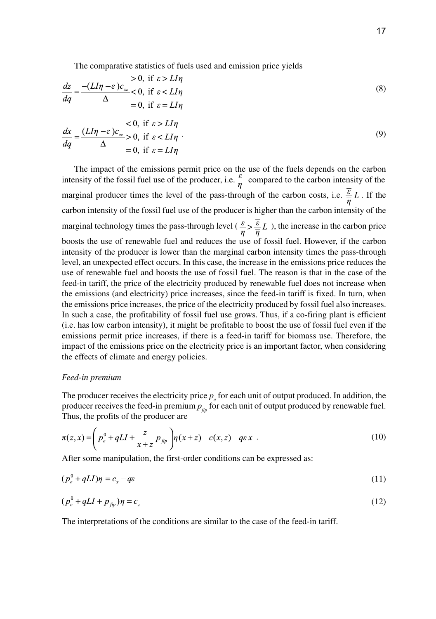The comparative statistics of fuels used and emission price yields

$$
\frac{dz}{dq} = \frac{-(LI\eta - \varepsilon)c_{xz}}{\Delta} < 0, \text{ if } \varepsilon > LI\eta
$$
  
\n
$$
= 0, \text{ if } \varepsilon = LI\eta
$$
  
\n
$$
\frac{dx}{dq} = \frac{(LI\eta - \varepsilon)c_{zz}}{\Delta} > 0, \text{ if } \varepsilon > LI\eta
$$
  
\n
$$
= 0, \text{ if } \varepsilon < LI\eta
$$
  
\n
$$
= 0, \text{ if } \varepsilon = LI\eta
$$
  
\n(9)

The impact of the emissions permit price on the use of the fuels depends on the carbon intensity of the fossil fuel use of the producer, i.e.  $\frac{\varepsilon}{\eta}$  compared to the carbon intensity of the marginal producer times the level of the pass-through of the carbon costs, i.e.  $\frac{\varepsilon}{n}L$ . If the carbon intensity of the fossil fuel use of the producer is higher than the carbon intensity of the marginal technology times the pass-through level ( $\frac{\varepsilon}{\eta} > \frac{\overline{\varepsilon}}{\overline{\eta}} L$ ), the increase in the carbon price boosts the use of renewable fuel and reduces the use of fossil fuel. However, if the carbon intensity of the producer is lower than the marginal carbon intensity times the pass-through level, an unexpected effect occurs. In this case, the increase in the emissions price reduces the use of renewable fuel and boosts the use of fossil fuel. The reason is that in the case of the feed-in tariff, the price of the electricity produced by renewable fuel does not increase when the emissions (and electricity) price increases, since the feed-in tariff is fixed. In turn, when the emissions price increases, the price of the electricity produced by fossil fuel also increases. In such a case, the profitability of fossil fuel use grows. Thus, if a co-firing plant is efficient (i.e. has low carbon intensity), it might be profitable to boost the use of fossil fuel even if the emissions permit price increases, if there is a feed-in tariff for biomass use. Therefore, the impact of the emissions price on the electricity price is an important factor, when considering the effects of climate and energy policies.

# *Feed-in premium*

The producer receives the electricity price  $p_e$  for each unit of output produced. In addition, the producer receives the feed-in premium  $p_{\text{fp}}$  for each unit of output produced by renewable fuel. Thus, the profits of the producer are

$$
\pi(z,x) = \left( p_e^0 + qLI + \frac{z}{x+z} p_{\hat{p}_p} \right) \eta(x+z) - c(x,z) - q\epsilon x \tag{10}
$$

After some manipulation, the first-order conditions can be expressed as:

$$
(p_e^0 + qLI)\eta = c_x - q\varepsilon \tag{11}
$$

$$
(p_e^0 + qLI + p_{\text{fip}})\eta = c_z \tag{12}
$$

The interpretations of the conditions are similar to the case of the feed-in tariff.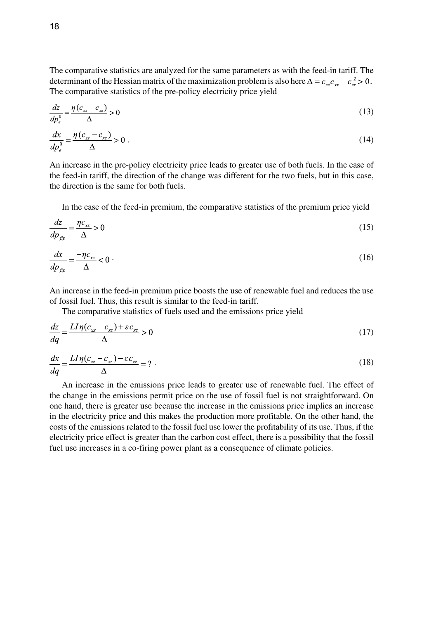The comparative statistics are analyzed for the same parameters as with the feed-in tariff. The determinant of the Hessian matrix of the maximization problem is also here  $\Delta = c_{z}^2 c_{xx} - c_{zx}^2 > 0$ . The comparative statistics of the pre-policy electricity price yield

$$
\frac{dz}{dp_e^0} = \frac{\eta(c_{xx} - c_{xz})}{\Delta} > 0\tag{13}
$$

$$
\frac{dx}{dp_e^0} = \frac{\eta \left(c_{zz} - c_{xz}\right)}{\Delta} > 0\tag{14}
$$

An increase in the pre-policy electricity price leads to greater use of both fuels. In the case of the feed-in tariff, the direction of the change was different for the two fuels, but in this case, the direction is the same for both fuels.

In the case of the feed-in premium, the comparative statistics of the premium price yield

$$
\frac{dz}{dp_{fip}} = \frac{\eta c_{xx}}{\Delta} > 0\tag{15}
$$

$$
\frac{dx}{dp_{\text{fip}}} = \frac{-\eta c_{xz}}{\Delta} < 0 \tag{16}
$$

An increase in the feed-in premium price boosts the use of renewable fuel and reduces the use of fossil fuel. Thus, this result is similar to the feed-in tariff.

The comparative statistics of fuels used and the emissions price yield

$$
\frac{dz}{dq} = \frac{LI\eta(c_{xx} - c_{xz}) + \varepsilon c_{xz}}{\Delta} > 0\tag{17}
$$

$$
\frac{dx}{dq} = \frac{LI\eta(c_{zz} - c_{xz}) - \varepsilon c_{zz}}{\Delta} = ?
$$
\n(18)

An increase in the emissions price leads to greater use of renewable fuel. The effect of the change in the emissions permit price on the use of fossil fuel is not straightforward. On one hand, there is greater use because the increase in the emissions price implies an increase in the electricity price and this makes the production more profitable. On the other hand, the costs of the emissions related to the fossil fuel use lower the profitability of its use. Thus, if the electricity price effect is greater than the carbon cost effect, there is a possibility that the fossil fuel use increases in a co-firing power plant as a consequence of climate policies.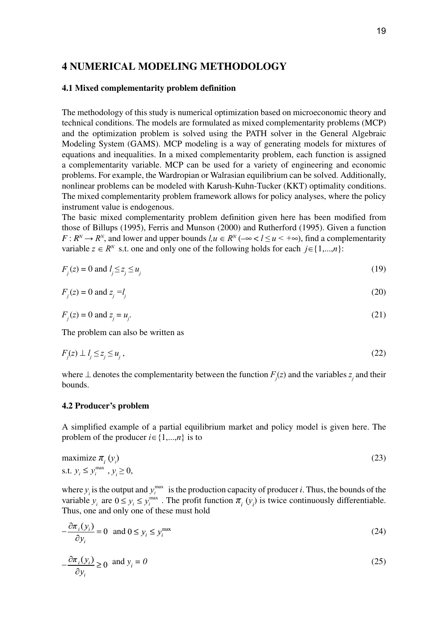# **4 Numerical modeling methodology**

# **4.1 Mixed complementarity problem definition**

The methodology of this study is numerical optimization based on microeconomic theory and technical conditions. The models are formulated as mixed complementarity problems (MCP) and the optimization problem is solved using the PATH solver in the General Algebraic Modeling System (GAMS). MCP modeling is a way of generating models for mixtures of equations and inequalities. In a mixed complementarity problem, each function is assigned a complementarity variable. MCP can be used for a variety of engineering and economic problems. For example, the Wardropian or Walrasian equilibrium can be solved. Additionally, nonlinear problems can be modeled with Karush-Kuhn-Tucker (KKT) optimality conditions. The mixed complementarity problem framework allows for policy analyses, where the policy instrument value is endogenous.

The basic mixed complementarity problem definition given here has been modified from those of Billups (1995), Ferris and Munson (2000) and Rutherford (1995). Given a function *F* :  $R^N$  →  $R^N$ , and lower and upper bounds  $l, u \in R^N$  (–∞ <  $l \le u$  < +∞), find a complementarity variable  $z \in R^N$  s.t. one and only one of the following holds for each  $j \in \{1,...,n\}$ :

$$
F_j(z) = 0 \text{ and } l_j \le z_j \le u_j \tag{19}
$$

$$
F_j(z) = 0 \text{ and } z_j = l_j \tag{20}
$$

$$
F_j(z) = 0 \text{ and } z_j = u_j. \tag{21}
$$

The problem can also be written as

$$
F_j(z) \perp l_j \le z_j \le u_j \,,\tag{22}
$$

where  $\perp$  denotes the complementarity between the function  $F_j(z)$  and the variables  $z_j$  and their bounds.

# **4.2 Producer's problem**

A simplified example of a partial equilibrium market and policy model is given here. The problem of the producer  $i \in \{1,...,n\}$  is to

maximize 
$$
\pi_i (y_i)
$$
  
s.t.  $y_i \le y_i^{\max}, y_i \ge 0$ , (23)

where  $y_i$  is the output and  $y_i^{\text{max}}$  is the production capacity of producer *i*. Thus, the bounds of the variable  $y_i$  are  $0 \le y_i \le y_i^{\max}$ . The profit function  $\pi_i(y_i)$  is twice continuously differentiable. Thus, one and only one of these must hold

$$
-\frac{\partial \pi_i(y_i)}{\partial y_i} = 0 \text{ and } 0 \le y_i \le y_i^{\max} \tag{24}
$$

$$
-\frac{\partial \pi_i(y_i)}{\partial y_i} \ge 0 \quad \text{and } y_i = 0 \tag{25}
$$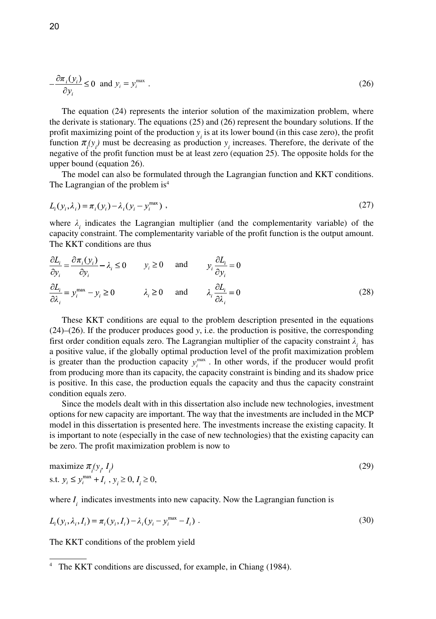$$
-\frac{\partial \pi_i(y_i)}{\partial y_i} \le 0 \text{ and } y_i = y_i^{\text{max}}.
$$
 (26)

The equation (24) represents the interior solution of the maximization problem, where the derivate is stationary. The equations (25) and (26) represent the boundary solutions. If the profit maximizing point of the production  $y_i$  is at its lower bound (in this case zero), the profit function  $\pi_i(y_i)$  must be decreasing as production  $y_i$  increases. Therefore, the derivate of the negative of the profit function must be at least zero (equation 25). The opposite holds for the upper bound (equation 26).

The model can also be formulated through the Lagrangian function and KKT conditions. The Lagrangian of the problem is<sup>4</sup>

$$
L_i(y_i, \lambda_i) = \pi_i(y_i) - \lambda_i(y_i - y_i^{\max}),
$$
\n(27)

where  $\lambda_i$  indicates the Lagrangian multiplier (and the complementarity variable) of the capacity constraint. The complementarity variable of the profit function is the output amount. The KKT conditions are thus

$$
\frac{\partial L_i}{\partial y_i} = \frac{\partial \pi_i(y_i)}{\partial y_i} - \lambda_i \le 0 \qquad y_i \ge 0 \qquad \text{and} \qquad y_i \frac{\partial L_i}{\partial y_i} = 0
$$
\n
$$
\frac{\partial L_i}{\partial \lambda_i} = y_i^{\text{max}} - y_i \ge 0 \qquad \lambda_i \ge 0 \qquad \text{and} \qquad \lambda_i \frac{\partial L_i}{\partial \lambda_i} = 0 \tag{28}
$$

These KKT conditions are equal to the problem description presented in the equations (24)–(26). If the producer produces good *y*, i.e. the production is positive, the corresponding first order condition equals zero. The Lagrangian multiplier of the capacity constraint *λi* has a positive value, if the globally optimal production level of the profit maximization problem is greater than the production capacity  $y_i^{\text{max}}$ . In other words, if the producer would profit from producing more than its capacity, the capacity constraint is binding and its shadow price is positive. In this case, the production equals the capacity and thus the capacity constraint condition equals zero.

Since the models dealt with in this dissertation also include new technologies, investment options for new capacity are important. The way that the investments are included in the MCP model in this dissertation is presented here. The investments increase the existing capacity. It is important to note (especially in the case of new technologies) that the existing capacity can be zero. The profit maximization problem is now to

maximize 
$$
\pi_i(y_i, I_i)
$$
  
s.t.  $y_i \le y_i^{\max} + I_i$ ,  $y_i \ge 0$ ,  $I_i \ge 0$ ,

where  $I_i$  indicates investments into new capacity. Now the Lagrangian function is

$$
L_i(y_i, \lambda_i, I_i) = \pi_i(y_i, I_i) - \lambda_i(y_i - y_i^{\max} - I_i)
$$
 (30)

The KKT conditions of the problem yield

<sup>4</sup> The KKT conditions are discussed, for example, in Chiang (1984).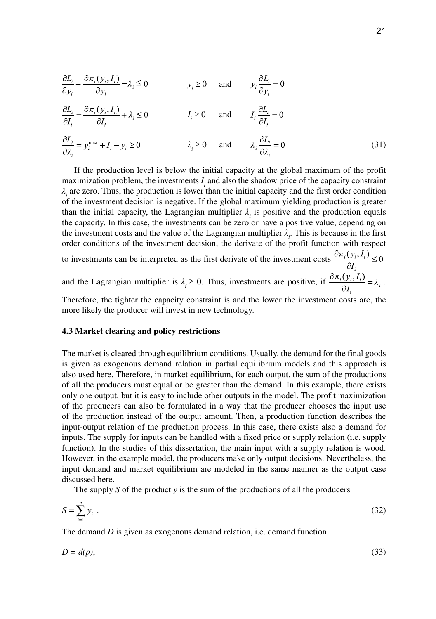$$
\frac{\partial L_i}{\partial y_i} = \frac{\partial \pi_i(y_i, I_i)}{\partial y_i} - \lambda_i \le 0 \qquad y_i \ge 0 \qquad \text{and} \qquad y_i \frac{\partial L_i}{\partial y_i} = 0
$$

$$
\frac{\partial L_i}{\partial I_i} = \frac{\partial \pi_i(y_i, I_i)}{\partial I_i} + \lambda_i \le 0 \qquad I_i \ge 0 \qquad \text{and} \qquad I_i \frac{\partial L_i}{\partial I_i} = 0
$$

$$
\frac{\partial L_i}{\partial \lambda_i} = y_i^{\text{max}} + I_i - y_i \ge 0 \qquad \qquad \lambda_i \ge 0 \qquad \text{and} \qquad \lambda_i \frac{\partial L_i}{\partial \lambda_i} = 0 \tag{31}
$$

If the production level is below the initial capacity at the global maximum of the profit maximization problem, the investments  $I_i$  and also the shadow price of the capacity constraint *λi* are zero. Thus, the production is lower than the initial capacity and the first order condition of the investment decision is negative. If the global maximum yielding production is greater than the initial capacity, the Lagrangian multiplier  $\lambda_i$  is positive and the production equals the capacity. In this case, the investments can be zero or have a positive value, depending on the investment costs and the value of the Lagrangian multiplier  $\lambda_i$ . This is because in the first order conditions of the investment decision, the derivate of the profit function with respect to investments can be interpreted as the first derivate of the investment costs  $\frac{\partial \pi_i(y_i, I_i)}{\partial I_i} \leq 0$ and the Lagrangian multiplier is  $\lambda_i \ge 0$ . Thus, investments are positive, if  $\frac{\partial \pi_i(y_i, I_i)}{\partial I} = \lambda_i$ .

Therefore, the tighter the capacity constraint is and the lower the investment costs are, the more likely the producer will invest in new technology.

# **4.3 Market clearing and policy restrictions**

The market is cleared through equilibrium conditions. Usually, the demand for the final goods is given as exogenous demand relation in partial equilibrium models and this approach is also used here. Therefore, in market equilibrium, for each output, the sum of the productions of all the producers must equal or be greater than the demand. In this example, there exists only one output, but it is easy to include other outputs in the model. The profit maximization of the producers can also be formulated in a way that the producer chooses the input use of the production instead of the output amount. Then, a production function describes the input-output relation of the production process. In this case, there exists also a demand for inputs. The supply for inputs can be handled with a fixed price or supply relation (i.e. supply function). In the studies of this dissertation, the main input with a supply relation is wood. However, in the example model, the producers make only output decisions. Nevertheless, the input demand and market equilibrium are modeled in the same manner as the output case discussed here.

The supply *S* of the product *y* is the sum of the productions of all the producers

$$
S = \sum_{i=1}^{n} y_i \tag{32}
$$

The demand *D* is given as exogenous demand relation, i.e. demand function

$$
D = d(p),\tag{33}
$$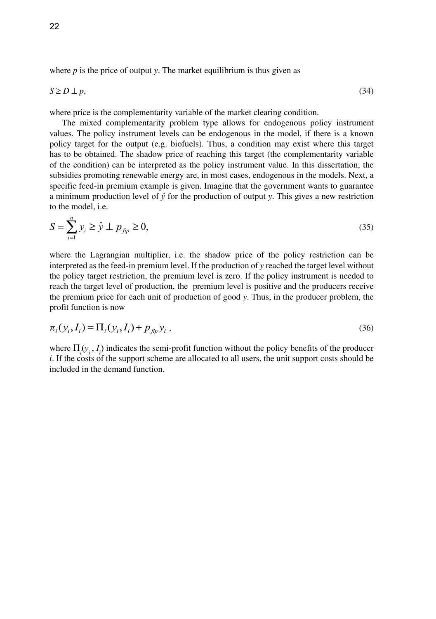where  $p$  is the price of output  $y$ . The market equilibrium is thus given as

$$
S \ge D \perp p,\tag{34}
$$

where price is the complementarity variable of the market clearing condition.

The mixed complementarity problem type allows for endogenous policy instrument values. The policy instrument levels can be endogenous in the model, if there is a known policy target for the output (e.g. biofuels). Thus, a condition may exist where this target has to be obtained. The shadow price of reaching this target (the complementarity variable of the condition) can be interpreted as the policy instrument value. In this dissertation, the subsidies promoting renewable energy are, in most cases, endogenous in the models. Next, a specific feed-in premium example is given. Imagine that the government wants to guarantee a minimum production level of  $\hat{y}$  for the production of output *y*. This gives a new restriction to the model, i.e.

$$
S = \sum_{i=1}^{N} y_i \ge \hat{y} \perp p_{\text{fip}} \ge 0,
$$
\n(35)

where the Lagrangian multiplier, i.e. the shadow price of the policy restriction can be interpreted as the feed-in premium level. If the production of *y* reached the target level without the policy target restriction, the premium level is zero. If the policy instrument is needed to reach the target level of production, the premium level is positive and the producers receive the premium price for each unit of production of good *y*. Thus, in the producer problem, the profit function is now

$$
\pi_i(y_i, I_i) = \Pi_i(y_i, I_i) + p_{\hat{p}_i} y_i,
$$
\n(36)

where  $\Pi_i$ ( $y_i$ ,  $I_i$ ) indicates the semi-profit function without the policy benefits of the producer *i*. If the costs of the support scheme are allocated to all users, the unit support costs should be included in the demand function.

*n*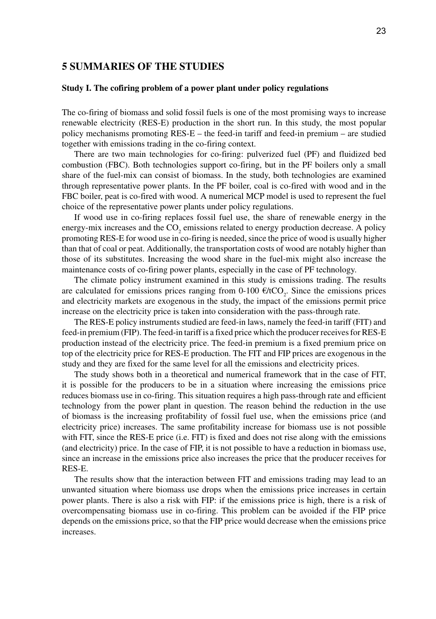# **5 Summaries of the studies**

# **Study I. The cofiring problem of a power plant under policy regulations**

The co-firing of biomass and solid fossil fuels is one of the most promising ways to increase renewable electricity (RES-E) production in the short run. In this study, the most popular policy mechanisms promoting RES-E – the feed-in tariff and feed-in premium – are studied together with emissions trading in the co-firing context.

There are two main technologies for co-firing: pulverized fuel (PF) and fluidized bed combustion (FBC). Both technologies support co-firing, but in the PF boilers only a small share of the fuel-mix can consist of biomass. In the study, both technologies are examined through representative power plants. In the PF boiler, coal is co-fired with wood and in the FBC boiler, peat is co-fired with wood. A numerical MCP model is used to represent the fuel choice of the representative power plants under policy regulations.

If wood use in co-firing replaces fossil fuel use, the share of renewable energy in the energy-mix increases and the  $\mathrm{CO}_2$  emissions related to energy production decrease. A policy promoting RES-E for wood use in co-firing is needed, since the price of wood is usually higher than that of coal or peat. Additionally, the transportation costs of wood are notably higher than those of its substitutes. Increasing the wood share in the fuel-mix might also increase the maintenance costs of co-firing power plants, especially in the case of PF technology.

The climate policy instrument examined in this study is emissions trading. The results are calculated for emissions prices ranging from  $0\n-100 \text{ E/tCO}_2$ . Since the emissions prices and electricity markets are exogenous in the study, the impact of the emissions permit price increase on the electricity price is taken into consideration with the pass-through rate.

The RES-E policy instruments studied are feed-in laws, namely the feed-in tariff (FIT) and feed-in premium (FIP). The feed-in tariff is a fixed price which the producer receives for RES-E production instead of the electricity price. The feed-in premium is a fixed premium price on top of the electricity price for RES-E production. The FIT and FIP prices are exogenous in the study and they are fixed for the same level for all the emissions and electricity prices.

The study shows both in a theoretical and numerical framework that in the case of FIT, it is possible for the producers to be in a situation where increasing the emissions price reduces biomass use in co-firing. This situation requires a high pass-through rate and efficient technology from the power plant in question. The reason behind the reduction in the use of biomass is the increasing profitability of fossil fuel use, when the emissions price (and electricity price) increases. The same profitability increase for biomass use is not possible with FIT, since the RES-E price (i.e. FIT) is fixed and does not rise along with the emissions (and electricity) price. In the case of FIP, it is not possible to have a reduction in biomass use, since an increase in the emissions price also increases the price that the producer receives for RES-E.

The results show that the interaction between FIT and emissions trading may lead to an unwanted situation where biomass use drops when the emissions price increases in certain power plants. There is also a risk with FIP: if the emissions price is high, there is a risk of overcompensating biomass use in co-firing. This problem can be avoided if the FIP price depends on the emissions price, so that the FIP price would decrease when the emissions price increases.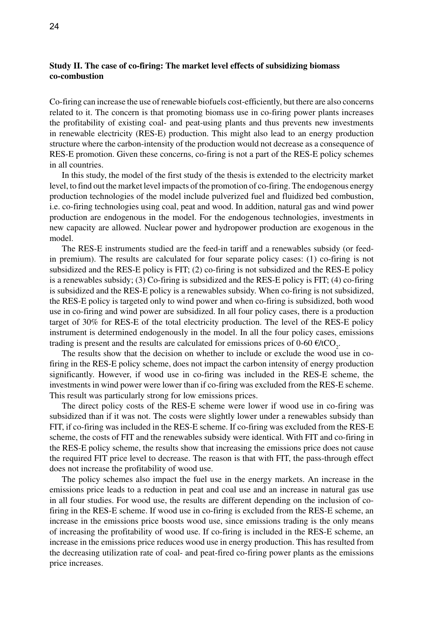# **Study II. The case of co-firing: The market level effects of subsidizing biomass co-combustion**

Co-firing can increase the use of renewable biofuels cost-efficiently, but there are also concerns related to it. The concern is that promoting biomass use in co-firing power plants increases the profitability of existing coal- and peat-using plants and thus prevents new investments in renewable electricity (RES-E) production. This might also lead to an energy production structure where the carbon-intensity of the production would not decrease as a consequence of RES-E promotion. Given these concerns, co-firing is not a part of the RES-E policy schemes in all countries.

In this study, the model of the first study of the thesis is extended to the electricity market level, to find out the market level impacts of the promotion of co-firing. The endogenous energy production technologies of the model include pulverized fuel and fluidized bed combustion, i.e. co-firing technologies using coal, peat and wood. In addition, natural gas and wind power production are endogenous in the model. For the endogenous technologies, investments in new capacity are allowed. Nuclear power and hydropower production are exogenous in the model.

The RES-E instruments studied are the feed-in tariff and a renewables subsidy (or feedin premium). The results are calculated for four separate policy cases: (1) co-firing is not subsidized and the RES-E policy is FIT; (2) co-firing is not subsidized and the RES-E policy is a renewables subsidy; (3) Co-firing is subsidized and the RES-E policy is FIT; (4) co-firing is subsidized and the RES-E policy is a renewables subsidy. When co-firing is not subsidized, the RES-E policy is targeted only to wind power and when co-firing is subsidized, both wood use in co-firing and wind power are subsidized. In all four policy cases, there is a production target of 30% for RES-E of the total electricity production. The level of the RES-E policy instrument is determined endogenously in the model. In all the four policy cases, emissions trading is present and the results are calculated for emissions prices of  $0\n-60 \notin \text{HCO}_2$ .

The results show that the decision on whether to include or exclude the wood use in cofiring in the RES-E policy scheme, does not impact the carbon intensity of energy production significantly. However, if wood use in co-firing was included in the RES-E scheme, the investments in wind power were lower than if co-firing was excluded from the RES-E scheme. This result was particularly strong for low emissions prices.

The direct policy costs of the RES-E scheme were lower if wood use in co-firing was subsidized than if it was not. The costs were slightly lower under a renewables subsidy than FIT, if co-firing was included in the RES-E scheme. If co-firing was excluded from the RES-E scheme, the costs of FIT and the renewables subsidy were identical. With FIT and co-firing in the RES-E policy scheme, the results show that increasing the emissions price does not cause the required FIT price level to decrease. The reason is that with FIT, the pass-through effect does not increase the profitability of wood use.

The policy schemes also impact the fuel use in the energy markets. An increase in the emissions price leads to a reduction in peat and coal use and an increase in natural gas use in all four studies. For wood use, the results are different depending on the inclusion of cofiring in the RES-E scheme. If wood use in co-firing is excluded from the RES-E scheme, an increase in the emissions price boosts wood use, since emissions trading is the only means of increasing the profitability of wood use. If co-firing is included in the RES-E scheme, an increase in the emissions price reduces wood use in energy production. This has resulted from the decreasing utilization rate of coal- and peat-fired co-firing power plants as the emissions price increases.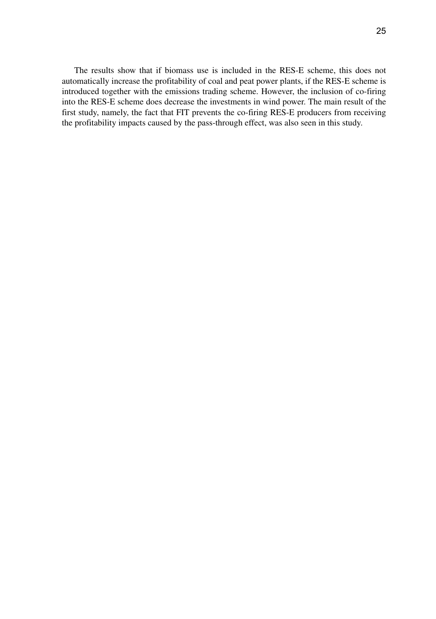The results show that if biomass use is included in the RES-E scheme, this does not automatically increase the profitability of coal and peat power plants, if the RES-E scheme is introduced together with the emissions trading scheme. However, the inclusion of co-firing into the RES-E scheme does decrease the investments in wind power. The main result of the first study, namely, the fact that FIT prevents the co-firing RES-E producers from receiving the profitability impacts caused by the pass-through effect, was also seen in this study.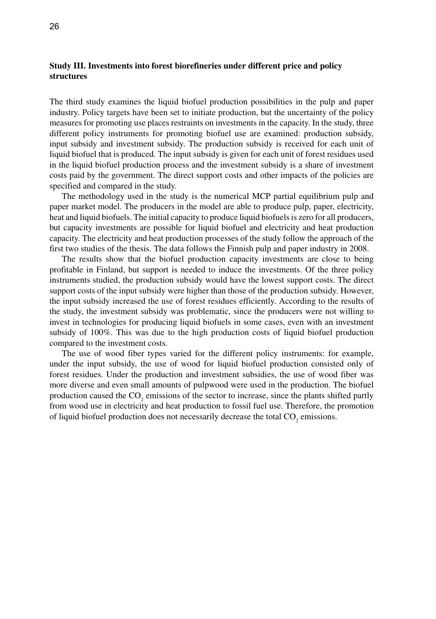# **Study III. Investments into forest biorefineries under different price and policy structures**

The third study examines the liquid biofuel production possibilities in the pulp and paper industry. Policy targets have been set to initiate production, but the uncertainty of the policy measures for promoting use places restraints on investments in the capacity. In the study, three different policy instruments for promoting biofuel use are examined: production subsidy, input subsidy and investment subsidy. The production subsidy is received for each unit of liquid biofuel that is produced. The input subsidy is given for each unit of forest residues used in the liquid biofuel production process and the investment subsidy is a share of investment costs paid by the government. The direct support costs and other impacts of the policies are specified and compared in the study.

The methodology used in the study is the numerical MCP partial equilibrium pulp and paper market model. The producers in the model are able to produce pulp, paper, electricity, heat and liquid biofuels. The initial capacity to produce liquid biofuels is zero for all producers, but capacity investments are possible for liquid biofuel and electricity and heat production capacity. The electricity and heat production processes of the study follow the approach of the first two studies of the thesis. The data follows the Finnish pulp and paper industry in 2008.

The results show that the biofuel production capacity investments are close to being profitable in Finland, but support is needed to induce the investments. Of the three policy instruments studied, the production subsidy would have the lowest support costs. The direct support costs of the input subsidy were higher than those of the production subsidy. However, the input subsidy increased the use of forest residues efficiently. According to the results of the study, the investment subsidy was problematic, since the producers were not willing to invest in technologies for producing liquid biofuels in some cases, even with an investment subsidy of 100%. This was due to the high production costs of liquid biofuel production compared to the investment costs.

The use of wood fiber types varied for the different policy instruments: for example, under the input subsidy, the use of wood for liquid biofuel production consisted only of forest residues. Under the production and investment subsidies, the use of wood fiber was more diverse and even small amounts of pulpwood were used in the production. The biofuel production caused the  $CO_2$  emissions of the sector to increase, since the plants shifted partly from wood use in electricity and heat production to fossil fuel use. Therefore, the promotion of liquid biofuel production does not necessarily decrease the total  $CO_2$  emissions.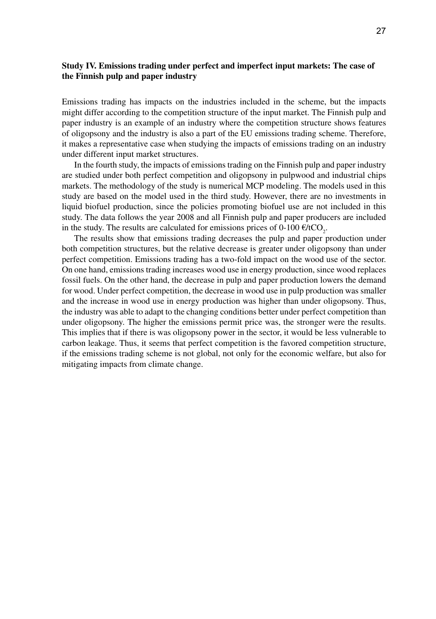# **Study IV. Emissions trading under perfect and imperfect input markets: The case of the Finnish pulp and paper industry**

Emissions trading has impacts on the industries included in the scheme, but the impacts might differ according to the competition structure of the input market. The Finnish pulp and paper industry is an example of an industry where the competition structure shows features of oligopsony and the industry is also a part of the EU emissions trading scheme. Therefore, it makes a representative case when studying the impacts of emissions trading on an industry under different input market structures.

In the fourth study, the impacts of emissions trading on the Finnish pulp and paper industry are studied under both perfect competition and oligopsony in pulpwood and industrial chips markets. The methodology of the study is numerical MCP modeling. The models used in this study are based on the model used in the third study. However, there are no investments in liquid biofuel production, since the policies promoting biofuel use are not included in this study. The data follows the year 2008 and all Finnish pulp and paper producers are included in the study. The results are calculated for emissions prices of  $0\n-100 \, \text{E/tCO}_2$ .

The results show that emissions trading decreases the pulp and paper production under both competition structures, but the relative decrease is greater under oligopsony than under perfect competition. Emissions trading has a two-fold impact on the wood use of the sector. On one hand, emissions trading increases wood use in energy production, since wood replaces fossil fuels. On the other hand, the decrease in pulp and paper production lowers the demand for wood. Under perfect competition, the decrease in wood use in pulp production was smaller and the increase in wood use in energy production was higher than under oligopsony. Thus, the industry was able to adapt to the changing conditions better under perfect competition than under oligopsony. The higher the emissions permit price was, the stronger were the results. This implies that if there is was oligopsony power in the sector, it would be less vulnerable to carbon leakage. Thus, it seems that perfect competition is the favored competition structure, if the emissions trading scheme is not global, not only for the economic welfare, but also for mitigating impacts from climate change.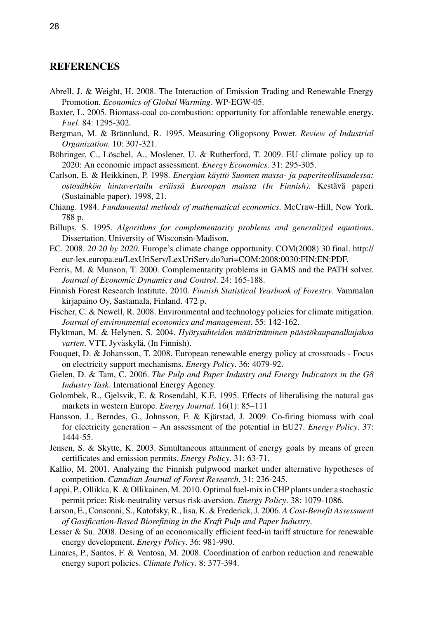# **References**

- Abrell, J. & Weight, H. 2008. The Interaction of Emission Trading and Renewable Energy Promotion. *Economics of Global Warming*. WP-EGW-05.
- Baxter, L. 2005. Biomass-coal co-combustion: opportunity for affordable renewable energy. *Fuel*. 84: 1295-302.
- Bergman, M. & Brännlund, R. 1995. Measuring Oligopsony Power. *Review of Industrial Organization.* 10: 307-321.
- Böhringer, C., Löschel, A., Moslener, U. & Rutherford, T. 2009. EU climate policy up to 2020: An economic impact assessment. *Energy Economics*. 31: 295-305.
- Carlson, E. & Heikkinen, P. 1998. *Energian käyttö Suomen massa- ja paperiteollisuudessa: ostosähkön hintavertailu eräissä Euroopan maissa (In Finnish).* Kestävä paperi (Sustainable paper). 1998, 21.
- Chiang. 1984. *Fundamental methods of mathematical economics*. McCraw-Hill, New York. 788 p.
- Billups, S. 1995. *Algorithms for complementarity problems and generalized equations*. Dissertation. University of Wisconsin-Madison.
- EC. 2008. *20 20 by 2020.* Europe's climate change opportunity. COM(2008) 30 final. http:// eur-lex.europa.eu/LexUriServ/LexUriServ.do?uri=COM:2008:0030:FIN:EN:PDF.
- Ferris, M. & Munson, T. 2000. Complementarity problems in GAMS and the PATH solver. *Journal of Economic Dynamics and Control*. 24: 165-188.
- Finnish Forest Research Institute. 2010. *Finnish Statistical Yearbook of Forestry*. Vammalan kirjapaino Oy, Sastamala, Finland. 472 p.
- Fischer, C. & Newell, R. 2008. Environmental and technology policies for climate mitigation. *Journal of environmental economics and management*. 55: 142-162.
- Flyktman, M. & Helynen, S. 2004. *Hyötysuhteiden määrittäminen päästökaupanalkujakoa varten*. VTT, Jyväskylä, (In Finnish).
- Fouquet, D. & Johansson, T. 2008. European renewable energy policy at crossroads Focus on electricity support mechanisms. *Energy Policy*. 36: 4079-92.
- Gielen, D. & Tam, C. 2006. *The Pulp and Paper Industry and Energy Indicators in the G8 Industry Task*. International Energy Agency.
- Golombek, R., Gjelsvik, E. & Rosendahl, K.E. 1995. Effects of liberalising the natural gas markets in western Europe. *Energy Journal*. 16(1): 85–111
- Hansson, J., Berndes, G., Johnsson, F. & Kjärstad, J. 2009. Co-firing biomass with coal for electricity generation – An assessment of the potential in EU27. *Energy Policy*. 37: 1444-55.
- Jensen, S. & Skytte, K. 2003. Simultaneous attainment of energy goals by means of green certificates and emission permits. *Energy Policy*. 31: 63-71.
- Kallio, M. 2001. Analyzing the Finnish pulpwood market under alternative hypotheses of competition. *Canadian Journal of Forest Research*. 31: 236-245.
- Lappi, P., Ollikka, K. & Ollikainen, M. 2010. Optimal fuel-mix in CHP plants under a stochastic permit price: Risk-neutrality versus risk-aversion. *Energy Policy*. 38: 1079-1086.
- Larson, E., Consonni, S., Katofsky, R., Iisa, K. & Frederick, J. 2006. *A Cost-Benefit Assessment of Gasification-Based Biorefining in the Kraft Pulp and Paper Industry*.
- Lesser & Su. 2008. Desing of an economically efficient feed-in tariff structure for renewable energy development. *Energy Policy*. 36: 981-990.
- Linares, P., Santos, F. & Ventosa, M. 2008. Coordination of carbon reduction and renewable energy suport policies. *Climate Policy*. 8: 377-394.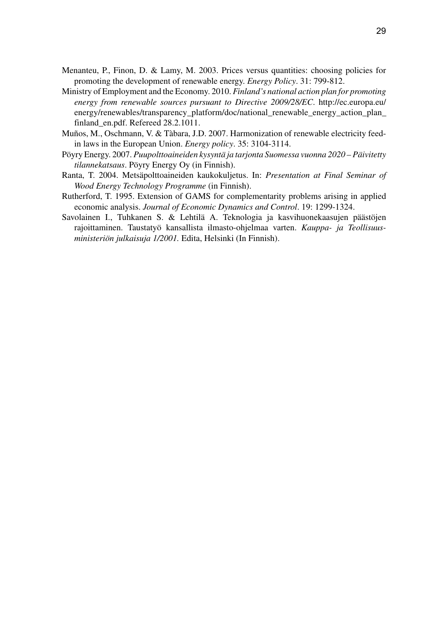- Menanteu, P., Finon, D. & Lamy, M. 2003. Prices versus quantities: choosing policies for promoting the development of renewable energy. *Energy Policy*. 31: 799-812.
- Ministry of Employment and the Economy. 2010. *Finland's national action plan for promoting energy from renewable sources pursuant to Directive 2009/28/EC*. http://ec.europa.eu/ energy/renewables/transparency\_platform/doc/national\_renewable\_energy\_action\_plan finland\_en.pdf. Refereed 28.2.1011.
- Muños, M., Oschmann, V. & Tàbara, J.D. 2007. Harmonization of renewable electricity feedin laws in the European Union. *Energy policy*. 35: 3104-3114.
- Pöyry Energy. 2007. *Puupolttoaineiden kysyntä ja tarjonta Suomessa vuonna 2020 Päivitetty tilannekatsaus*. Pöyry Energy Oy (in Finnish).
- Ranta, T. 2004. Metsäpolttoaineiden kaukokuljetus. In: *Presentation at Final Seminar of Wood Energy Technology Programme* (in Finnish).
- Rutherford, T. 1995. Extension of GAMS for complementarity problems arising in applied economic analysis. *Journal of Economic Dynamics and Control*. 19: 1299-1324.
- Savolainen I., Tuhkanen S. & Lehtilä A. Teknologia ja kasvihuonekaasujen päästöjen rajoittaminen. Taustatyö kansallista ilmasto-ohjelmaa varten. *Kauppa- ja Teollisuusministeriön julkaisuja 1/2001.* Edita, Helsinki (In Finnish).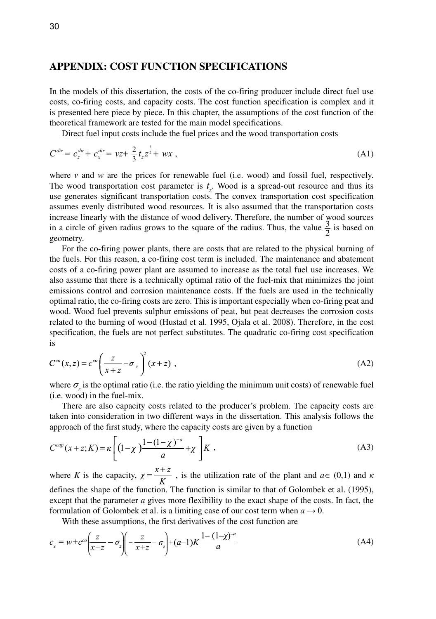# **Appendix: Cost function specifications**

In the models of this dissertation, the costs of the co-firing producer include direct fuel use costs, co-firing costs, and capacity costs. The cost function specification is complex and it is presented here piece by piece. In this chapter, the assumptions of the cost function of the theoretical framework are tested for the main model specifications.

Direct fuel input costs include the fuel prices and the wood transportation costs

$$
C^{dir} = c_z^{dir} + c_x^{dir} = vz + \frac{2}{3}t_z z^{\frac{3}{2}} + wx \,, \tag{A1}
$$

where  $\nu$  and  $w$  are the prices for renewable fuel (i.e. wood) and fossil fuel, respectively. The wood transportation cost parameter is  $t<sub>z</sub>$ . Wood is a spread-out resource and thus its use generates significant transportation costs. The convex transportation cost specification assumes evenly distributed wood resources. It is also assumed that the transportation costs increase linearly with the distance of wood delivery. Therefore, the number of wood sources in a circle of given radius grows to the square of the radius. Thus, the value  $\frac{3}{2}$  is based on a circle of given radius grows to the square of the radius. Thus, the value  $\frac{3}{2}$  is based on geometry.

For the co-firing power plants, there are costs that are related to the physical burning of the fuels. For this reason, a co-firing cost term is included. The maintenance and abatement costs of a co-firing power plant are assumed to increase as the total fuel use increases. We also assume that there is a technically optimal ratio of the fuel-mix that minimizes the joint emissions control and corrosion maintenance costs. If the fuels are used in the technically optimal ratio, the co-firing costs are zero. This is important especially when co-firing peat and wood. Wood fuel prevents sulphur emissions of peat, but peat decreases the corrosion costs related to the burning of wood (Hustad et al. 1995, Ojala et al. 2008). Therefore, in the cost specification, the fuels are not perfect substitutes. The quadratic co-firing cost specification is

$$
C^{co}(x,z) = c^{co}\left(\frac{z}{x+z} - \sigma_z\right)^2 (x+z) , \qquad (A2)
$$

where  $\sigma_z$  is the optimal ratio (i.e. the ratio yielding the minimum unit costs) of renewable fuel (i.e. wood) in the fuel-mix.

There are also capacity costs related to the producer's problem. The capacity costs are taken into consideration in two different ways in the dissertation. This analysis follows the approach of the first study, where the capacity costs are given by a function

$$
C^{cap}(x+z;K) = \kappa \left[ \left(1-\chi\right)^{1-\left(1-\chi\right)^{-a}} + \chi \right] K , \tag{A3}
$$

where *K* is the capacity,  $\chi = \frac{x+z}{K}$ , is the utilization rate of the plant and  $a \in (0,1)$  and  $\kappa$ defines the shape of the function. The function is similar to that of Golombek et al. (1995), except that the parameter *a* gives more flexibility to the exact shape of the costs. In fact, the formulation of Golombek et al. is a limiting case of our cost term when  $a \rightarrow 0$ .

With these assumptions, the first derivatives of the cost function are

$$
c_x = w + c^{\circ \circ} \left(\frac{z}{x+z} - \sigma_z\right) \left(-\frac{z}{x+z} - \sigma_z\right) + (a-1)K\frac{1 - (1-\chi)^{-a}}{a}
$$
(A4)